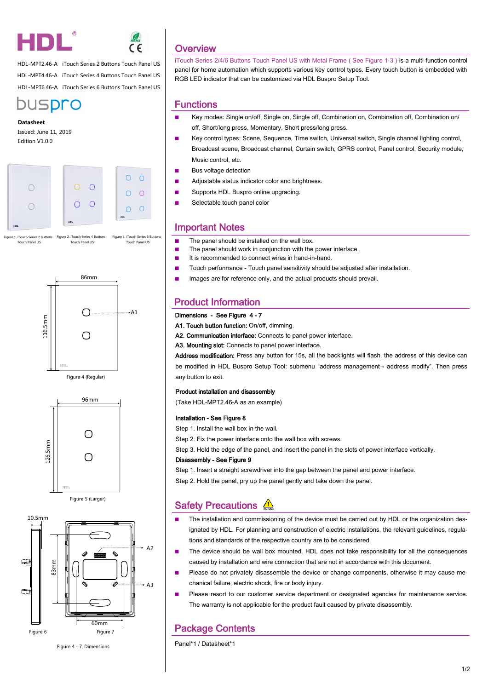



HDL-MPT2.46-A iTouch Series 2 Buttons Touch Panel US HDL-MPT4.46-A iTouch Series 4 Buttons Touch Panel US HDL-MPT6.46-A iTouch Series 6 Buttons Touch Panel US



#### **Datasheet**

Touch Panel US

Issued: June 11, 2019 Edition V1.0.0



Figure 1. iTouch Series 2 Buttons Figure 2. iTouch Series 4 Buttons Touch Panel US Figure 3. iTouch Series 6 Buttons Touch Panel US





Figure 5 (Larger)



Figure 4 - 7. Dimensions

## **Overview**

iTouch Series 2/4/6 Buttons Touch Panel US with Metal Frame ( See Figure 1-3 ) is a multi-function control panel for home automation which supports various key control types. Every touch button is embedded with RGB LED indicator that can be customized via HDL Buspro Setup Tool.

### **Functions**

- Key modes: Single on/off, Single on, Single off, Combination on, Combination off, Combination on/ off, Short/long press, Momentary, Short press/long press.
- Key control types: Scene, Sequence, Time switch, Universal switch, Single channel lighting control, Broadcast scene, Broadcast channel, Curtain switch, GPRS control, Panel control, Security module, Music control, etc.
- Bus voltage detection
- Adjustable status indicator color and brightness.
- Supports HDL Buspro online upgrading.
- Selectable touch panel color

## Important Notes

- The panel should be installed on the wall box.
- The panel should work in conjunction with the power interface.
- It is recommended to connect wires in hand-in-hand.
- Touch performance Touch panel sensitivity should be adjusted after installation.
- Images are for reference only, and the actual products should prevail.

## Product Information

#### Dimensions - See Figure 4 - 7

- A1. Touch button function: On/off, dimming.
- A2. Communication interface: Connects to panel power interface.

A3. Mounting slot: Connects to panel power interface.

Address modification: Press any button for 15s, all the backlights will flash, the address of this device can be modified in HDL Buspro Setup Tool: submenu "address management→ address modify". Then press any button to exit.

#### Product installation and disassembly

(Take HDL-MPT2.46-A as an example)

#### Installation - See Figure 8

Step 1. Install the wall box in the wall.

Step 2. Fix the power interface onto the wall box with screws.

Step 3. Hold the edge of the panel, and insert the panel in the slots of power interface vertically.

#### Disassembly - See Figure 9

Step 1. Insert a straight screwdriver into the gap between the panel and power interface. Step 2. Hold the panel, pry up the panel gently and take down the panel.

## Safety Precautions  $\triangle$

- The installation and commissioning of the device must be carried out by HDL or the organization designated by HDL. For planning and construction of electric installations, the relevant guidelines, regulations and standards of the respective country are to be considered.
- The device should be wall box mounted. HDL does not take responsibility for all the consequences caused by installation and wire connection that are not in accordance with this document.
- Please do not privately disassemble the device or change components, otherwise it may cause mechanical failure, electric shock, fire or body injury.
- Please resort to our customer service department or designated agencies for maintenance service. The warranty is not applicable for the product fault caused by private disassembly.

## Package Contents

Panel\*1 / Datasheet\*1